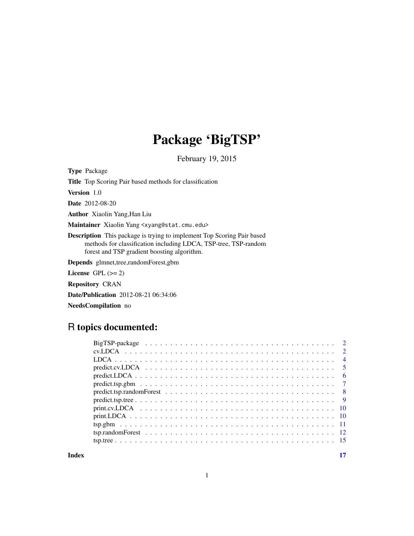## Package 'BigTSP'

February 19, 2015

Type Package Title Top Scoring Pair based methods for classification Version 1.0 Date 2012-08-20 Author Xiaolin Yang,Han Liu Maintainer Xiaolin Yang <xyang@stat.cmu.edu> Description This package is trying to implement Top Scoring Pair based methods for classification including LDCA, TSP-tree, TSP-random forest and TSP gradient boosting algorithm. Depends glmnet,tree,randomForest,gbm License GPL  $(>= 2)$ Repository CRAN

Date/Publication 2012-08-21 06:34:06

NeedsCompilation no

## R topics documented:

**Index** [17](#page-16-0)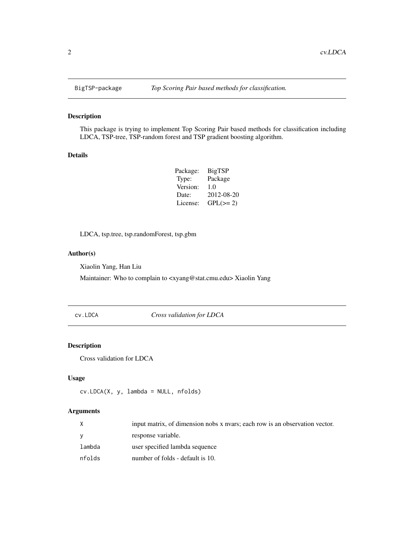This package is trying to implement Top Scoring Pair based methods for classification including LDCA, TSP-tree, TSP-random forest and TSP gradient boosting algorithm.

#### Details

| BigTSP      |
|-------------|
| Package     |
| 1.0         |
| 2012-08-20  |
| $GPL(>= 2)$ |
|             |

LDCA, tsp.tree, tsp.randomForest, tsp.gbm

## Author(s)

Xiaolin Yang, Han Liu

Maintainer: Who to complain to <xyang@stat.cmu.edu> Xiaolin Yang

cv.LDCA *Cross validation for LDCA*

## Description

Cross validation for LDCA

#### Usage

```
cv.LDCA(X, y, lambda = NULL, nfolds)
```

|        | input matrix, of dimension nobs x nvars; each row is an observation vector. |
|--------|-----------------------------------------------------------------------------|
|        | response variable.                                                          |
| lambda | user specified lambda sequence                                              |
| nfolds | number of folds - default is 10.                                            |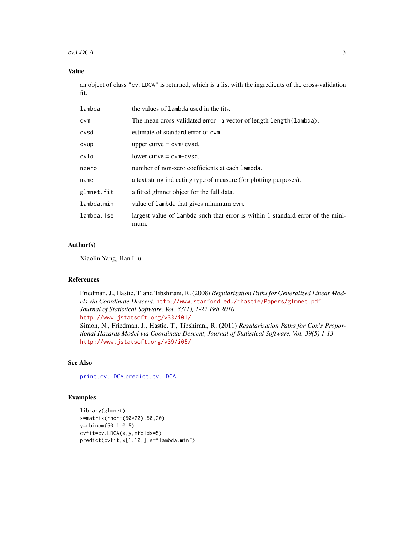#### <span id="page-2-0"></span>cv.LDCA 3

#### Value

an object of class "cv.LDCA" is returned, which is a list with the ingredients of the cross-validation fit.

| lambda     | the values of lambda used in the fits.                                                  |
|------------|-----------------------------------------------------------------------------------------|
| <b>CVM</b> | The mean cross-validated error - a vector of length length (lambda).                    |
| cvsd       | estimate of standard error of cym.                                                      |
| cvup       | upper curve $=$ cvm+cvsd.                                                               |
| cvlo       | $lower curve = cvm-cvsd.$                                                               |
| nzero      | number of non-zero coefficients at each lambda.                                         |
| name       | a text string indicating type of measure (for plotting purposes).                       |
| glmnet.fit | a fitted glmnet object for the full data.                                               |
| lambda.min | value of lambda that gives minimum cvm.                                                 |
| lambda.1se | largest value of lambda such that error is within 1 standard error of the mini-<br>mum. |

#### Author(s)

Xiaolin Yang, Han Liu

#### References

Friedman, J., Hastie, T. and Tibshirani, R. (2008) *Regularization Paths for Generalized Linear Models via Coordinate Descent*, <http://www.stanford.edu/~hastie/Papers/glmnet.pdf> *Journal of Statistical Software, Vol. 33(1), 1-22 Feb 2010* <http://www.jstatsoft.org/v33/i01/> Simon, N., Friedman, J., Hastie, T., Tibshirani, R. (2011) *Regularization Paths for Cox's Proportional Hazards Model via Coordinate Descent, Journal of Statistical Software, Vol. 39(5) 1-13* <http://www.jstatsoft.org/v39/i05/>

#### See Also

[print.cv.LDCA](#page-9-1),[predict.cv.LDCA](#page-4-1),

```
library(glmnet)
x=matrix(rnorm(50*20),50,20)
y=rbinom(50,1,0.5)
cvfit=cv.LDCA(x,y,nfolds=5)
predict(cvfit,x[1:10,],s="lambda.min")
```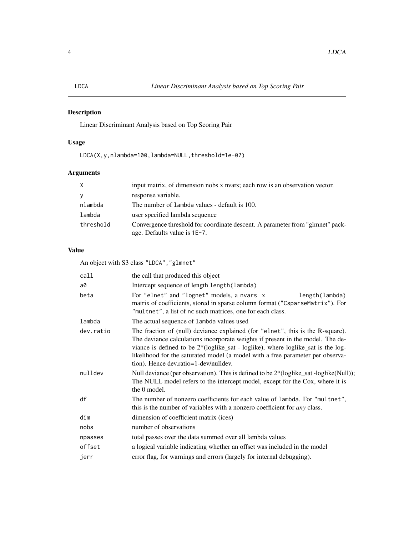<span id="page-3-0"></span>Linear Discriminant Analysis based on Top Scoring Pair

## Usage

LDCA(X,y,nlambda=100,lambda=NULL,threshold=1e-07)

## Arguments

| $\times$  | input matrix, of dimension nobs x nyars; each row is an observation vector.                                   |
|-----------|---------------------------------------------------------------------------------------------------------------|
| <b>V</b>  | response variable.                                                                                            |
| nlambda   | The number of lambda values - default is 100.                                                                 |
| lambda    | user specified lambda sequence                                                                                |
| threshold | Convergence threshold for coordinate descent. A parameter from "glmnet" pack-<br>age. Defaults value is 1E-7. |

## Value

An object with S3 class "LDCA","glmnet"

| call      | the call that produced this object                                                                                                                                                                                                                                                                                                                                                 |  |
|-----------|------------------------------------------------------------------------------------------------------------------------------------------------------------------------------------------------------------------------------------------------------------------------------------------------------------------------------------------------------------------------------------|--|
| a0        | Intercept sequence of length length (lambda)                                                                                                                                                                                                                                                                                                                                       |  |
| beta      | For "elnet" and "lognet" models, a nvars x<br>length(lambda)<br>matrix of coefficients, stored in sparse column format ("CsparseMatrix"). For<br>"multnet", a list of nc such matrices, one for each class.                                                                                                                                                                        |  |
| lambda    | The actual sequence of lambda values used                                                                                                                                                                                                                                                                                                                                          |  |
| dev.ratio | The fraction of (null) deviance explained (for "elnet", this is the R-square).<br>The deviance calculations incorporate weights if present in the model. The de-<br>viance is defined to be $2*(loglike_sat - loglike)$ , where loglike sat is the log-<br>likelihood for the saturated model (a model with a free parameter per observa-<br>tion). Hence dev.ratio=1-dev/nulldev. |  |
| nulldev   | Null deviance (per observation). This is defined to be 2*(loglike_sat -loglike(Null));<br>The NULL model refers to the intercept model, except for the Cox, where it is<br>the 0 model.                                                                                                                                                                                            |  |
| df        | The number of nonzero coefficients for each value of lambda. For "multnet",<br>this is the number of variables with a nonzero coefficient for <i>any</i> class.                                                                                                                                                                                                                    |  |
| dim       | dimension of coefficient matrix (ices)                                                                                                                                                                                                                                                                                                                                             |  |
| nobs      | number of observations                                                                                                                                                                                                                                                                                                                                                             |  |
| npasses   | total passes over the data summed over all lambda values                                                                                                                                                                                                                                                                                                                           |  |
| offset    | a logical variable indicating whether an offset was included in the model                                                                                                                                                                                                                                                                                                          |  |
| jerr      | error flag, for warnings and errors (largely for internal debugging).                                                                                                                                                                                                                                                                                                              |  |
|           |                                                                                                                                                                                                                                                                                                                                                                                    |  |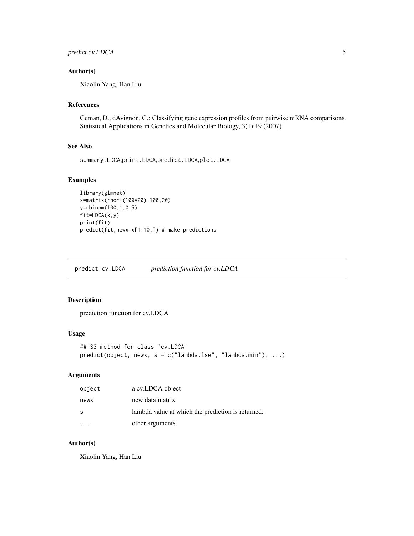#### <span id="page-4-0"></span>Author(s)

Xiaolin Yang, Han Liu

## References

Geman, D., dAvignon, C.: Classifying gene expression profiles from pairwise mRNA comparisons. Statistical Applications in Genetics and Molecular Biology, 3(1):19 (2007)

#### See Also

```
summary.LDCA,print.LDCA,predict.LDCA,plot.LDCA
```
#### Examples

```
library(glmnet)
x=matrix(rnorm(100*20),100,20)
y=rbinom(100,1,0.5)
fit=LDCA(x,y)
print(fit)
predict(fit,newx=x[1:10,]) # make predictions
```
<span id="page-4-1"></span>predict.cv.LDCA *prediction function for cv.LDCA*

#### Description

prediction function for cv.LDCA

## Usage

```
## S3 method for class 'cv.LDCA'
predict(object, newx, s = c("lambda.lse", "lambda.min"), ...)
```
#### Arguments

| object | a cv.LDCA object                                  |
|--------|---------------------------------------------------|
| newx   | new data matrix                                   |
| S      | lambda value at which the prediction is returned. |
|        | other arguments                                   |

## Author(s)

Xiaolin Yang, Han Liu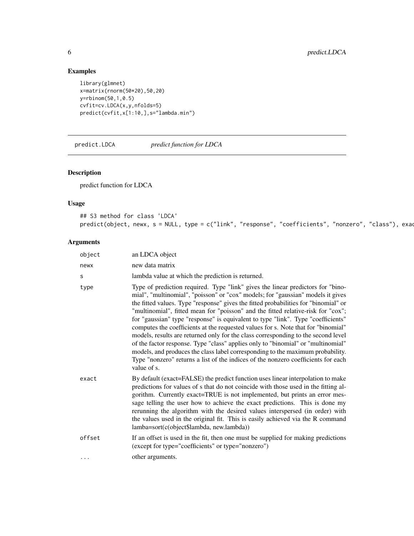## Examples

```
library(glmnet)
x=matrix(rnorm(50*20),50,20)
y=rbinom(50,1,0.5)
cvfit=cv.LDCA(x,y,nfolds=5)
predict(cvfit,x[1:10,],s="lambda.min")
```
predict.LDCA *predict function for LDCA*

## Description

predict function for LDCA

## Usage

```
## S3 method for class 'LDCA'
predict(object, newx, s = NULL, type = c("link", "response", "coefficients", "nonzero", "class"), exad
```

| an LDCA object                                                                                                                                                                                                                                                                                                                                                                                                                                                                                                                                                                                                                                                                                                                                                                                                                                                                        |
|---------------------------------------------------------------------------------------------------------------------------------------------------------------------------------------------------------------------------------------------------------------------------------------------------------------------------------------------------------------------------------------------------------------------------------------------------------------------------------------------------------------------------------------------------------------------------------------------------------------------------------------------------------------------------------------------------------------------------------------------------------------------------------------------------------------------------------------------------------------------------------------|
| new data matrix                                                                                                                                                                                                                                                                                                                                                                                                                                                                                                                                                                                                                                                                                                                                                                                                                                                                       |
| lambda value at which the prediction is returned.                                                                                                                                                                                                                                                                                                                                                                                                                                                                                                                                                                                                                                                                                                                                                                                                                                     |
| Type of prediction required. Type "link" gives the linear predictors for "bino-<br>mial", "multinomial", "poisson" or "cox" models; for "gaussian" models it gives<br>the fitted values. Type "response" gives the fitted probabilities for "binomial" or<br>"multinomial", fitted mean for "poisson" and the fitted relative-risk for "cox";<br>for "gaussian" type "response" is equivalent to type "link". Type "coefficients"<br>computes the coefficients at the requested values for s. Note that for "binomial"<br>models, results are returned only for the class corresponding to the second level<br>of the factor response. Type "class" applies only to "binomial" or "multinomial"<br>models, and produces the class label corresponding to the maximum probability.<br>Type "nonzero" returns a list of the indices of the nonzero coefficients for each<br>value of s. |
| By default (exact=FALSE) the predict function uses linear interpolation to make<br>predictions for values of s that do not coincide with those used in the fitting al-<br>gorithm. Currently exact=TRUE is not implemented, but prints an error mes-<br>sage telling the user how to achieve the exact predictions. This is done my<br>rerunning the algorithm with the desired values interspersed (in order) with<br>the values used in the original fit. This is easily achieved via the R command<br>lamba=sort(c(object\$lambda, new.lambda))                                                                                                                                                                                                                                                                                                                                    |
| If an offset is used in the fit, then one must be supplied for making predictions<br>(except for type="coefficients" or type="nonzero")                                                                                                                                                                                                                                                                                                                                                                                                                                                                                                                                                                                                                                                                                                                                               |
| other arguments.                                                                                                                                                                                                                                                                                                                                                                                                                                                                                                                                                                                                                                                                                                                                                                                                                                                                      |
|                                                                                                                                                                                                                                                                                                                                                                                                                                                                                                                                                                                                                                                                                                                                                                                                                                                                                       |

<span id="page-5-0"></span>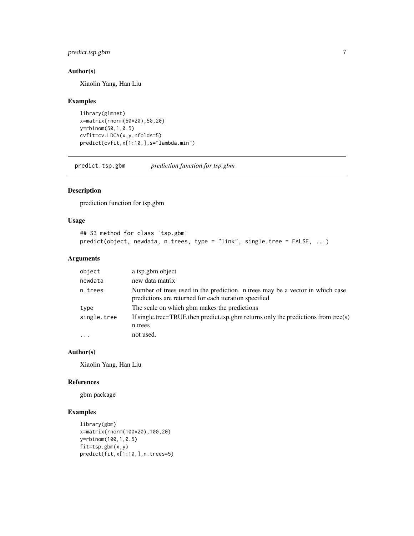## <span id="page-6-0"></span>predict.tsp.gbm 7

## Author(s)

Xiaolin Yang, Han Liu

#### Examples

```
library(glmnet)
x=matrix(rnorm(50*20),50,20)
y=rbinom(50,1,0.5)
cvfit=cv.LDCA(x,y,nfolds=5)
predict(cvfit,x[1:10,],s="lambda.min")
```
<span id="page-6-1"></span>predict.tsp.gbm *prediction function for tsp.gbm*

## Description

prediction function for tsp.gbm

## Usage

```
## S3 method for class 'tsp.gbm'
predict(object, newdata, n.trees, type = "link", single.tree = FALSE, ...)
```
#### Arguments

| object      | a tsp.gbm object                                                                                                                       |
|-------------|----------------------------------------------------------------------------------------------------------------------------------------|
| newdata     | new data matrix                                                                                                                        |
| n.trees     | Number of trees used in the prediction. n.trees may be a vector in which case<br>predictions are returned for each iteration specified |
| type        | The scale on which gbm makes the predictions                                                                                           |
| single.tree | If single tree=TRUE then predict tsp.gbm returns only the predictions from tree(s)<br>n.trees                                          |
|             | not used.                                                                                                                              |

#### Author(s)

Xiaolin Yang, Han Liu

#### References

gbm package

```
library(gbm)
x=matrix(rnorm(100*20),100,20)
y=rbinom(100,1,0.5)
fit=tsp.gbm(x,y)
predict(fit,x[1:10,],n.trees=5)
```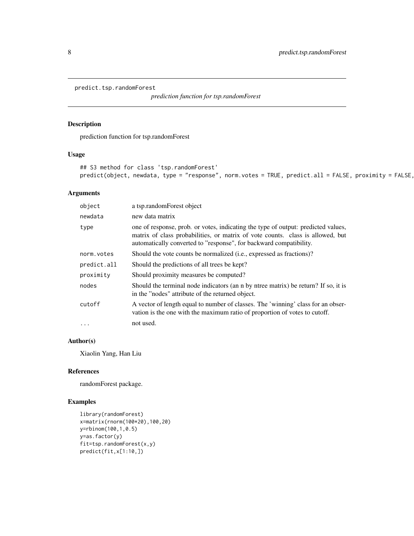<span id="page-7-0"></span>predict.tsp.randomForest

*prediction function for tsp.randomForest*

#### Description

prediction function for tsp.randomForest

## Usage

```
## S3 method for class 'tsp.randomForest'
predict(object, new data, type = "response", norm.votes = TRUE, predict.all = FALSE, proximity = FALSE,
```
## Arguments

| object      | a tsp.randomForest object                                                                                                                                                                                                                 |
|-------------|-------------------------------------------------------------------------------------------------------------------------------------------------------------------------------------------------------------------------------------------|
| newdata     | new data matrix                                                                                                                                                                                                                           |
| type        | one of response, prob. or votes, indicating the type of output: predicted values,<br>matrix of class probabilities, or matrix of vote counts. class is allowed, but<br>automatically converted to "response", for backward compatibility. |
| norm.votes  | Should the vote counts be normalized (i.e., expressed as fractions)?                                                                                                                                                                      |
| predict.all | Should the predictions of all trees be kept?                                                                                                                                                                                              |
| proximity   | Should proximity measures be computed?                                                                                                                                                                                                    |
| nodes       | Should the terminal node indicators (an n by ntree matrix) be return? If so, it is<br>in the "nodes" attribute of the returned object.                                                                                                    |
| cutoff      | A vector of length equal to number of classes. The 'winning' class for an obser-<br>vation is the one with the maximum ratio of proportion of votes to cutoff.                                                                            |
| $\cdots$    | not used.                                                                                                                                                                                                                                 |

#### Author(s)

Xiaolin Yang, Han Liu

#### References

randomForest package.

```
library(randomForest)
x=matrix(rnorm(100*20),100,20)
y=rbinom(100,1,0.5)
y=as.factor(y)
fit=tsp.randomForest(x,y)
predict(fit,x[1:10,])
```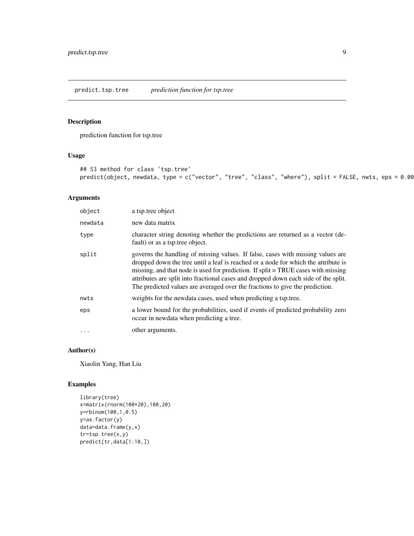<span id="page-8-1"></span><span id="page-8-0"></span>prediction function for tsp.tree

## Usage

```
## S3 method for class 'tsp.tree'
predict(object, new data, type = c("vector", "tree", "class", "where"), split = FALSE, nwts,eps = 0.001
```
## Arguments

| object   | a tsp.tree object                                                                                                                                                                                                                                                                                                                                                                                                                 |
|----------|-----------------------------------------------------------------------------------------------------------------------------------------------------------------------------------------------------------------------------------------------------------------------------------------------------------------------------------------------------------------------------------------------------------------------------------|
| newdata  | new data matrix                                                                                                                                                                                                                                                                                                                                                                                                                   |
| type     | character string denoting whether the predictions are returned as a vector (de-<br>fault) or as a tsp.tree object.                                                                                                                                                                                                                                                                                                                |
| split    | governs the handling of missing values. If false, cases with missing values are<br>dropped down the tree until a leaf is reached or a node for which the attribute is<br>missing, and that node is used for prediction. If split = TRUE cases with missing<br>attributes are split into fractional cases and dropped down each side of the split.<br>The predicted values are averaged over the fractions to give the prediction. |
| nwts     | weights for the newdata cases, used when predicting a tsp.tree.                                                                                                                                                                                                                                                                                                                                                                   |
| eps      | a lower bound for the probabilities, used if events of predicted probability zero<br>occur in newdata when predicting a tree.                                                                                                                                                                                                                                                                                                     |
| $\cdots$ | other arguments.                                                                                                                                                                                                                                                                                                                                                                                                                  |

## Author(s)

Xiaolin Yang, Han Liu

```
library(tree)
x=matrix(rnorm(100*20),100,20)
y=rbinom(100,1,0.5)
y=as.factor(y)
data=data.frame(y,x)
tr=tsp.tree(x,y)
predict(tr,data[1:10,])
```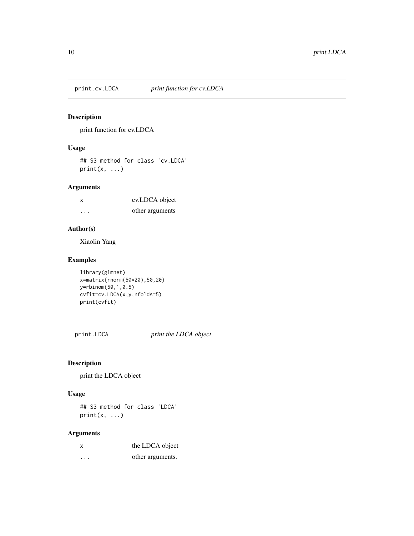<span id="page-9-1"></span><span id="page-9-0"></span>

print function for cv.LDCA

## Usage

## S3 method for class 'cv.LDCA'  $print(x, \ldots)$ 

#### Arguments

| X        | cv.LDCA object  |
|----------|-----------------|
| $\cdots$ | other arguments |

#### Author(s)

Xiaolin Yang

## Examples

```
library(glmnet)
x=matrix(rnorm(50*20),50,20)
y=rbinom(50,1,0.5)
cvfit=cv.LDCA(x,y,nfolds=5)
print(cvfit)
```
print.LDCA *print the LDCA object*

## Description

print the LDCA object

#### Usage

## S3 method for class 'LDCA'  $print(x, \ldots)$ 

| x        | the LDCA object  |
|----------|------------------|
| $\cdots$ | other arguments. |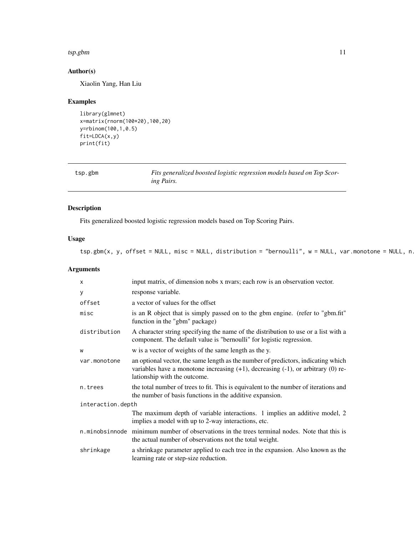#### <span id="page-10-0"></span>tsp.gbm 11

## Author(s)

Xiaolin Yang, Han Liu

## Examples

```
library(glmnet)
x=matrix(rnorm(100*20),100,20)
y=rbinom(100,1,0.5)
fit=LDCA(x,y)
print(fit)
```

| tsp.gbm | Fits generalized boosted logistic regression models based on Top Scor- |
|---------|------------------------------------------------------------------------|
|         | ing Pairs.                                                             |

## Description

Fits generalized boosted logistic regression models based on Top Scoring Pairs.

#### Usage

```
tsp.gbm(x, y, offset = NULL, miss = NULL, distribution = "bernoulli", w = NULL, var.monotone = NULL, n
```

| $\times$          | input matrix, of dimension nobs x nvars; each row is an observation vector.                                                                                                                                   |
|-------------------|---------------------------------------------------------------------------------------------------------------------------------------------------------------------------------------------------------------|
| У                 | response variable.                                                                                                                                                                                            |
| offset            | a vector of values for the offset                                                                                                                                                                             |
| misc              | is an R object that is simply passed on to the gbm engine. (refer to "gbm.fit"<br>function in the "gbm" package)                                                                                              |
| distribution      | A character string specifying the name of the distribution to use or a list with a<br>component. The default value is "bernoulli" for logistic regression.                                                    |
| W                 | w is a vector of weights of the same length as the y.                                                                                                                                                         |
| var.monotone      | an optional vector, the same length as the number of predictors, indicating which<br>variables have a monotone increasing $(+1)$ , decreasing $(-1)$ , or arbitrary $(0)$ re-<br>lationship with the outcome. |
| n.trees           | the total number of trees to fit. This is equivalent to the number of iterations and<br>the number of basis functions in the additive expansion.                                                              |
| interaction.depth |                                                                                                                                                                                                               |
|                   | The maximum depth of variable interactions. 1 implies an additive model, 2<br>implies a model with up to 2-way interactions, etc.                                                                             |
|                   | n minobsine of minimum number of observations in the trees terminal nodes. Note that this is<br>the actual number of observations not the total weight.                                                       |
| shrinkage         | a shrinkage parameter applied to each tree in the expansion. Also known as the<br>learning rate or step-size reduction.                                                                                       |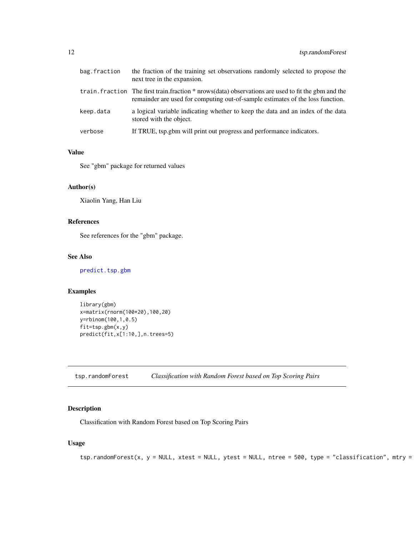<span id="page-11-0"></span>

| bag.fraction | the fraction of the training set observations randomly selected to propose the<br>next tree in the expansion.                                                                             |
|--------------|-------------------------------------------------------------------------------------------------------------------------------------------------------------------------------------------|
|              | train, fraction The first train, fraction $*$ nrows (data) observations are used to fit the gbm and the<br>remainder are used for computing out-of-sample estimates of the loss function. |
| keep.data    | a logical variable indicating whether to keep the data and an index of the data<br>stored with the object.                                                                                |
| verbose      | If TRUE, tsp.gbm will print out progress and performance indicators.                                                                                                                      |

#### Value

See "gbm" package for returned values

#### Author(s)

Xiaolin Yang, Han Liu

## References

See references for the "gbm" package.

## See Also

[predict.tsp.gbm](#page-6-1)

#### Examples

```
library(gbm)
x=matrix(rnorm(100*20),100,20)
y=rbinom(100,1,0.5)
fit=tsp.gbm(x,y)
predict(fit,x[1:10,],n.trees=5)
```
tsp.randomForest *Classification with Random Forest based on Top Scoring Pairs*

## Description

Classification with Random Forest based on Top Scoring Pairs

#### Usage

 $tsp.randomForest(x, y = NULL, xtest = NULL, ytest = NULL, ntree = 500, type = "classification", mtry = ...$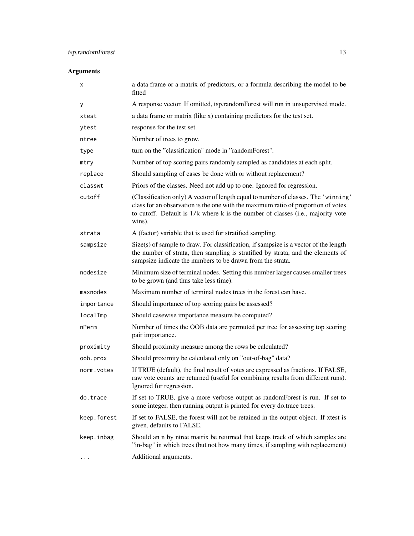| х           | a data frame or a matrix of predictors, or a formula describing the model to be<br>fitted                                                                                                                                                                            |
|-------------|----------------------------------------------------------------------------------------------------------------------------------------------------------------------------------------------------------------------------------------------------------------------|
| у           | A response vector. If omitted, tsp.randomForest will run in unsupervised mode.                                                                                                                                                                                       |
| xtest       | a data frame or matrix (like x) containing predictors for the test set.                                                                                                                                                                                              |
| ytest       | response for the test set.                                                                                                                                                                                                                                           |
| ntree       | Number of trees to grow.                                                                                                                                                                                                                                             |
| type        | turn on the "classification" mode in "randomForest".                                                                                                                                                                                                                 |
| mtry        | Number of top scoring pairs randomly sampled as candidates at each split.                                                                                                                                                                                            |
| replace     | Should sampling of cases be done with or without replacement?                                                                                                                                                                                                        |
| classwt     | Priors of the classes. Need not add up to one. Ignored for regression.                                                                                                                                                                                               |
| cutoff      | (Classification only) A vector of length equal to number of classes. The 'winning'<br>class for an observation is the one with the maximum ratio of proportion of votes<br>to cutoff. Default is 1/k where k is the number of classes (i.e., majority vote<br>wins). |
| strata      | A (factor) variable that is used for stratified sampling.                                                                                                                                                                                                            |
| sampsize    | $Size(s)$ of sample to draw. For classification, if sampsize is a vector of the length<br>the number of strata, then sampling is stratified by strata, and the elements of<br>sampsize indicate the numbers to be drawn from the strata.                             |
| nodesize    | Minimum size of terminal nodes. Setting this number larger causes smaller trees<br>to be grown (and thus take less time).                                                                                                                                            |
| maxnodes    | Maximum number of terminal nodes trees in the forest can have.                                                                                                                                                                                                       |
| importance  | Should importance of top scoring pairs be assessed?                                                                                                                                                                                                                  |
| localImp    | Should casewise importance measure be computed?                                                                                                                                                                                                                      |
| nPerm       | Number of times the OOB data are permuted per tree for assessing top scoring<br>pair importance.                                                                                                                                                                     |
| proximity   | Should proximity measure among the rows be calculated?                                                                                                                                                                                                               |
| oob.prox    | Should proximity be calculated only on "out-of-bag" data?                                                                                                                                                                                                            |
| norm.votes  | If TRUE (default), the final result of votes are expressed as fractions. If FALSE,<br>raw vote counts are returned (useful for combining results from different runs).<br>Ignored for regression.                                                                    |
| do.trace    | If set to TRUE, give a more verbose output as random Forest is run. If set to<br>some integer, then running output is printed for every do trace trees.                                                                                                              |
| keep.forest | If set to FALSE, the forest will not be retained in the output object. If xtest is<br>given, defaults to FALSE.                                                                                                                                                      |
| keep.inbag  | Should an n by ntree matrix be returned that keeps track of which samples are<br>"in-bag" in which trees (but not how many times, if sampling with replacement)                                                                                                      |
| $\cdots$    | Additional arguments.                                                                                                                                                                                                                                                |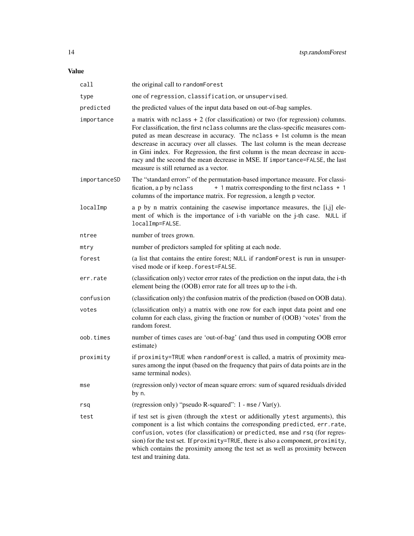## Value

| call         | the original call to randomForest                                                                                                                                                                                                                                                                                                                                                                                                                                                                                                           |
|--------------|---------------------------------------------------------------------------------------------------------------------------------------------------------------------------------------------------------------------------------------------------------------------------------------------------------------------------------------------------------------------------------------------------------------------------------------------------------------------------------------------------------------------------------------------|
| type         | one of regression, classification, or unsupervised.                                                                                                                                                                                                                                                                                                                                                                                                                                                                                         |
| predicted    | the predicted values of the input data based on out-of-bag samples.                                                                                                                                                                                                                                                                                                                                                                                                                                                                         |
| importance   | a matrix with $nclass + 2$ (for classification) or two (for regression) columns.<br>For classification, the first nclass columns are the class-specific measures com-<br>puted as mean descrease in accuracy. The nclass + 1st column is the mean<br>descrease in accuracy over all classes. The last column is the mean decrease<br>in Gini index. For Regression, the first column is the mean decrease in accu-<br>racy and the second the mean decrease in MSE. If importance=FALSE, the last<br>measure is still returned as a vector. |
| importanceSD | The "standard errors" of the permutation-based importance measure. For classi-<br>fication, a p by nclass<br>+ 1 matrix corresponding to the first nclass + 1<br>columns of the importance matrix. For regression, a length p vector.                                                                                                                                                                                                                                                                                                       |
| localImp     | a p by n matrix containing the casewise importance measures, the [i,j] ele-<br>ment of which is the importance of i-th variable on the j-th case. NULL if<br>localImp=FALSE.                                                                                                                                                                                                                                                                                                                                                                |
| ntree        | number of trees grown.                                                                                                                                                                                                                                                                                                                                                                                                                                                                                                                      |
| mtry         | number of predictors sampled for spliting at each node.                                                                                                                                                                                                                                                                                                                                                                                                                                                                                     |
| forest       | (a list that contains the entire forest; NULL if randomForest is run in unsuper-<br>vised mode or if keep. forest=FALSE.                                                                                                                                                                                                                                                                                                                                                                                                                    |
| err.rate     | (classification only) vector error rates of the prediction on the input data, the i-th<br>element being the (OOB) error rate for all trees up to the i-th.                                                                                                                                                                                                                                                                                                                                                                                  |
| confusion    | (classification only) the confusion matrix of the prediction (based on OOB data).                                                                                                                                                                                                                                                                                                                                                                                                                                                           |
| votes        | (classification only) a matrix with one row for each input data point and one<br>column for each class, giving the fraction or number of (OOB) 'votes' from the<br>random forest.                                                                                                                                                                                                                                                                                                                                                           |
| oob.times    | number of times cases are 'out-of-bag' (and thus used in computing OOB error<br>estimate)                                                                                                                                                                                                                                                                                                                                                                                                                                                   |
| proximity    | if proximity=TRUE when randomForest is called, a matrix of proximity mea-<br>sures among the input (based on the frequency that pairs of data points are in the<br>same terminal nodes).                                                                                                                                                                                                                                                                                                                                                    |
| mse          | (regression only) vector of mean square errors: sum of squared residuals divided<br>by n.                                                                                                                                                                                                                                                                                                                                                                                                                                                   |
| rsq          | (regression only) "pseudo R-squared": 1 - mse / Var(y).                                                                                                                                                                                                                                                                                                                                                                                                                                                                                     |
| test         | if test set is given (through the xtest or additionally ytest arguments), this<br>component is a list which contains the corresponding predicted, err.rate,<br>confusion, votes (for classification) or predicted, mse and rsq (for regres-<br>sion) for the test set. If proximity=TRUE, there is also a component, proximity,<br>which contains the proximity among the test set as well as proximity between<br>test and training data.                                                                                                  |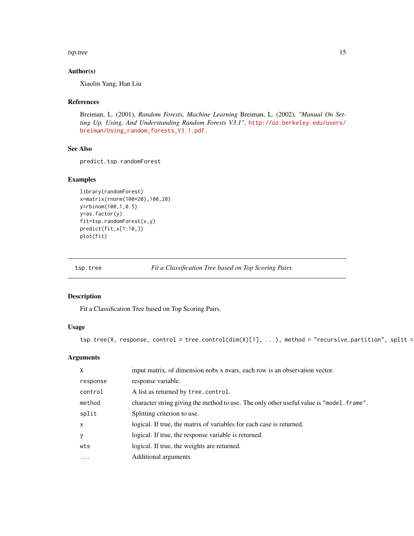#### <span id="page-14-0"></span>tsp.tree 15

#### Author(s)

Xiaolin Yang, Han Liu

#### References

Breiman, L. (2001), *Random Forests, Machine Learning* Breiman, L. (2002), *"Manual On Setting Up, Using, And Understanding Random Forests V3.1"*, [http://oz.berkeley.edu/users/](http://oz.berkeley.edu/users/breiman/Using_random_forests_V3.1.pdf.) [breiman/Using\\_random\\_forests\\_V3.1.pdf.](http://oz.berkeley.edu/users/breiman/Using_random_forests_V3.1.pdf.)

## See Also

predict.tsp.randomForest

#### Examples

```
library(randomForest)
x=matrix(rnorm(100*20),100,20)
y=rbinom(100,1,0.5)
y=as.factor(y)
fit=tsp.randomForest(x,y)
predict(fit,x[1:10,])
plot(fit)
```
tsp.tree *Fit a Classification Tree based on Top Scoring Pairs.*

#### Description

Fit a Classification Tree based on Top Scoring Pairs.

#### Usage

```
tsp.tree(X, response, control = tree.control(dim(X)[1], ...), method = "recursive.partition", split =
```

| X            | input matrix, of dimension nobs x nvars, each row is an observation vector.               |
|--------------|-------------------------------------------------------------------------------------------|
| response     | response variable.                                                                        |
| control      | A list as returned by tree.control.                                                       |
| method       | character string giving the method to use. The only other useful value is "model. frame". |
| split        | Splitting criterion to use.                                                               |
| $\mathsf{x}$ | logical. If true, the matrix of variables for each case is returned.                      |
| y            | logical. If true, the response variable is returned.                                      |
| wts          | logical. If true, the weights are returned.                                               |
| $\ddots$     | Additional arguments                                                                      |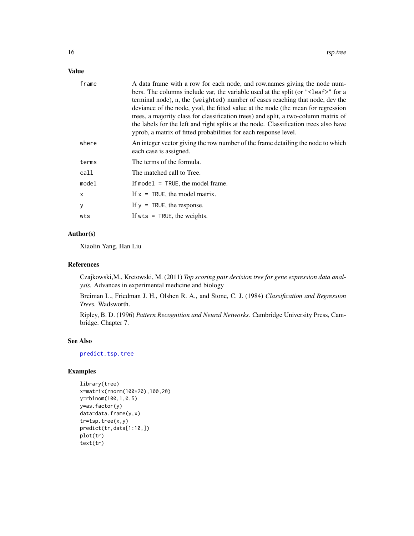## <span id="page-15-0"></span>Value

| frame | A data frame with a row for each node, and row.names giving the node num-<br>bers. The columns include var, the variable used at the split (or " <leaf>" for a<br/>terminal node), n, the (weighted) number of cases reaching that node, dev the<br/>deviance of the node, yval, the fitted value at the node (the mean for regression<br/>trees, a majority class for classification trees) and split, a two-column matrix of<br/>the labels for the left and right splits at the node. Classification trees also have<br/>yprob, a matrix of fitted probabilities for each response level.</leaf> |
|-------|-----------------------------------------------------------------------------------------------------------------------------------------------------------------------------------------------------------------------------------------------------------------------------------------------------------------------------------------------------------------------------------------------------------------------------------------------------------------------------------------------------------------------------------------------------------------------------------------------------|
| where | An integer vector giving the row number of the frame detailing the node to which<br>each case is assigned.                                                                                                                                                                                                                                                                                                                                                                                                                                                                                          |
| terms | The terms of the formula.                                                                                                                                                                                                                                                                                                                                                                                                                                                                                                                                                                           |
| call  | The matched call to Tree.                                                                                                                                                                                                                                                                                                                                                                                                                                                                                                                                                                           |
| model | If model $=$ TRUE, the model frame.                                                                                                                                                                                                                                                                                                                                                                                                                                                                                                                                                                 |
| X     | If $x = TRUE$ , the model matrix.                                                                                                                                                                                                                                                                                                                                                                                                                                                                                                                                                                   |
| У     | If $y = TRUE$ , the response.                                                                                                                                                                                                                                                                                                                                                                                                                                                                                                                                                                       |
| wts   | If $wts = TRUE$ , the weights.                                                                                                                                                                                                                                                                                                                                                                                                                                                                                                                                                                      |
|       |                                                                                                                                                                                                                                                                                                                                                                                                                                                                                                                                                                                                     |

## Author(s)

Xiaolin Yang, Han Liu

#### References

Czajkowski,M., Kretowski, M. (2011) *Top scoring pair decision tree for gene expression data analysis.* Advances in experimental medicine and biology

Breiman L., Friedman J. H., Olshen R. A., and Stone, C. J. (1984) *Classification and Regression Trees.* Wadsworth.

Ripley, B. D. (1996) *Pattern Recognition and Neural Networks.* Cambridge University Press, Cambridge. Chapter 7.

#### See Also

[predict.tsp.tree](#page-8-1)

```
library(tree)
x=matrix(rnorm(100*20),100,20)
y=rbinom(100,1,0.5)
y=as.factor(y)
data=data.frame(y,x)
tr=tsp.tree(x,y)
predict(tr,data[1:10,])
plot(tr)
text(tr)
```